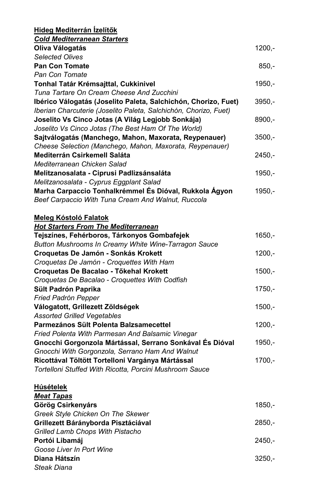| <b>Hideg Mediterrán Ízelítők</b>                                 |          |
|------------------------------------------------------------------|----------|
| <b>Cold Mediterranean Starters</b>                               |          |
| Oliva Válogatás                                                  | $1200,-$ |
| <b>Selected Olives</b>                                           |          |
| <b>Pan Con Tomate</b>                                            | $850 -$  |
| Pan Con Tomate                                                   |          |
| Tonhal Tatár Krémsajttal, Cukkinivel                             | $1950,-$ |
| Tuna Tartare On Cream Cheese And Zucchini                        |          |
| Ibérico Válogatás (Joselito Paleta, Salchichón, Chorizo, Fuet)   | $3950,-$ |
| Iberian Charcuterie (Joselito Paleta, Salchichón, Chorizo, Fuet) |          |
| Joselito Vs Cinco Jotas (A Világ Legjobb Sonkája)                | $8900,-$ |
| Joselito Vs Cinco Jotas (The Best Ham Of The World)              |          |
| Sajtválogatás (Manchego, Mahon, Maxorata, Reypenauer)            | $3500,-$ |
| Cheese Selection (Manchego, Mahon, Maxorata, Reypenauer)         |          |
| <b>Mediterrán Csirkemell Saláta</b>                              | $2450 -$ |
| Mediterranean Chicken Salad                                      |          |
| Melitzanosalata - Ciprusi Padlizsánsaláta                        | $1950,-$ |
| Melitzanosalata - Cyprus Eggplant Salad                          |          |
| Marha Carpaccio Tonhalkrémmel És Dióval, Rukkola Ágyon           | $1950 -$ |
| Beef Carpaccio With Tuna Cream And Walnut, Ruccola               |          |
|                                                                  |          |
| <b>Meleg Kóstoló Falatok</b>                                     |          |
| <b>Hot Starters From The Mediterranean</b>                       |          |
| Tejszínes, Fehérboros, Tárkonyos Gombafejek                      | $1650,-$ |
| Button Mushrooms In Creamy White Wine-Tarragon Sauce             |          |
| <b>Croquetas De Jamón - Sonkás Krokett</b>                       | $1200,-$ |
| Croquetas De Jamón - Croquettes With Ham                         |          |
| Croquetas De Bacalao - Tőkehal Krokett                           | $1500,-$ |
| Croquetas De Bacalao - Croquettes With Codfish                   |          |
| Sült Padrón Paprika                                              | $1750,-$ |
| Fried Padrón Pepper                                              |          |
| Válogatott, Grillezett Zöldségek                                 | $1500,-$ |
| <b>Assorted Grilled Vegetables</b>                               |          |
| Parmezános Sült Polenta Balzsamecettel                           | $1200,-$ |
| Fried Polenta With Parmesan And Balsamic Vinegar                 |          |
| Gnocchi Gorgonzola Mártással, Serrano Sonkával És Dióval         | $1950,-$ |
| Gnocchi With Gorgonzola, Serrano Ham And Walnut                  |          |
| Ricottával Töltött Tortelloni Vargánya Mártással                 | $1700,-$ |
| Tortelloni Stuffed With Ricotta, Porcini Mushroom Sauce          |          |
|                                                                  |          |
| <b>Húsételek</b>                                                 |          |
| <b>Meat Tapas</b>                                                |          |
| Görög Csirkenyárs                                                | $1850,-$ |
| Greek Style Chicken On The Skewer                                |          |
| Grillezett Bárányborda Pisztáciával                              | $2850,-$ |
| <b>Grilled Lamb Chops With Pistacho</b>                          |          |
| Portói Libamáj                                                   | $2450,-$ |
| Goose Liver In Port Wine                                         |          |
| Diana Hátszín                                                    | $3250,-$ |

Steak Diana